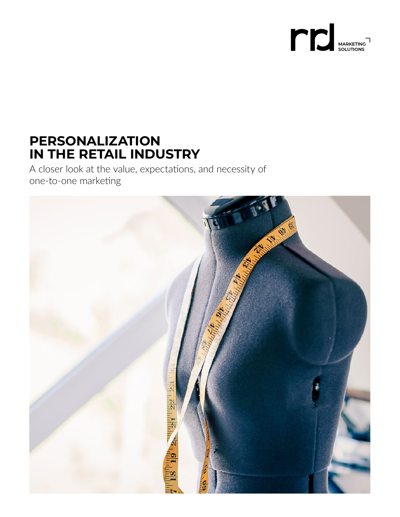

# **PERSONALIZATION IN THE RETAIL INDUSTRY**

A closer look at the value, expectations, and necessity of one-to-one marketing

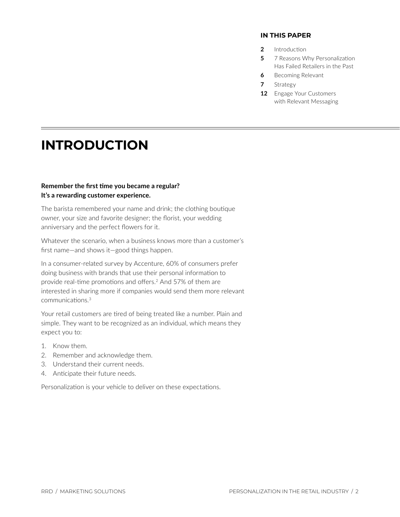#### **IN THIS PAPER**

- **2** Introduction
- **5** 7 Reasons Why Personalization Has Failed Retailers in the Past
- **6** [Becoming Relevant](#page-5-0)
- **7** [Strategy](#page-6-0)
- **12** [Engage Your Customers](#page-11-0)  with Relevant Messaging

# **INTRODUCTION**

#### **Remember the first time you became a regular? It's a rewarding customer experience.**

The barista remembered your name and drink; the clothing boutique owner, your size and favorite designer; the florist, your wedding anniversary and the perfect flowers for it.

Whatever the scenario, when a business knows more than a customer's first name—and shows it—good things happen.

In a consumer-related survey by Accenture, 60% of consumers prefer doing business with brands that use their personal information to provide real-time promotions and offers.<sup>[2](#page-12-0)</sup> And 57% of them are interested in sharing more if companies would send them more relevant communications.[3](#page-12-0)

Your retail customers are tired of being treated like a number. Plain and simple. They want to be recognized as an individual, which means they expect you to:

- 1. Know them.
- 2. Remember and acknowledge them.
- 3. Understand their current needs.
- 4. Anticipate their future needs.

Personalization is your vehicle to deliver on these expectations.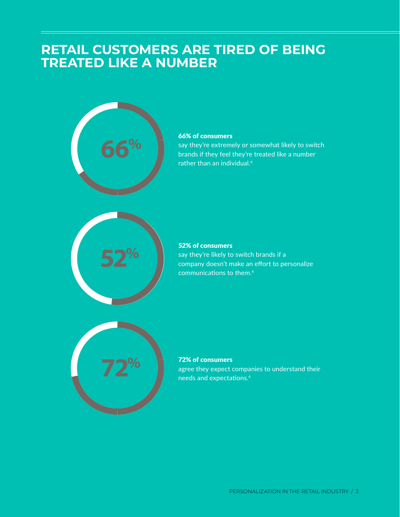## **RETAIL CUSTOMERS ARE TIRED OF BEING TREATED LIKE A NUMBER**



## **66% of consumers**

**72% 52% of consumers**<br>say they're extremely or somewhat likely to switch<br>brands if they feel they're treated like a number say they're extremely or somewhat likely to switch brands if they feel they're treated like a number rather than an individual[.4](#page-12-0)



#### **72% 52% 66% 52% of consumers**  say they're likely to switch brands if a company doesn't make an effort to personalize communications to them.[4](#page-12-0)



#### **72% of consumers**

agree they expect companies to understand their needs and expectations.[4](#page-12-0)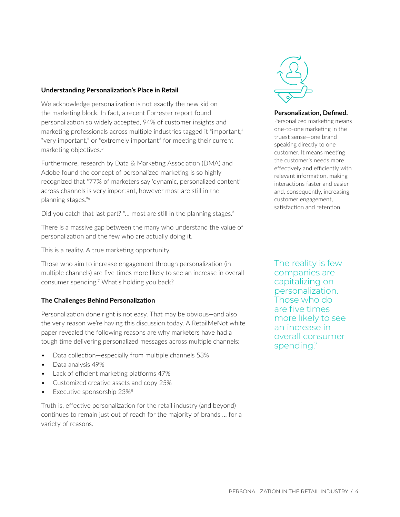### **Understanding Personalization's Place in Retail**

We acknowledge personalization is not exactly the new kid on the marketing block. In fact, a recent Forrester report found personalization so widely accepted, 94% of customer insights and marketing professionals across multiple industries tagged it "important," "very important," or "extremely important" for meeting their current marketing objectives.<sup>5</sup>

Furthermore, research by Data & Marketing Association (DMA) and Adobe found the concept of personalized marketing is so highly recognized that "77% of marketers say 'dynamic, personalized content' across channels is very important, however most are still in the planning stages.["6](#page-12-0)

Did you catch that last part? "… most are still in the planning stages."

There is a massive gap between the many who understand the value of personalization and the few who are actually doing it.

This is a reality. A true marketing opportunity.

Those who aim to increase engagement through personalization (in multiple channels) are five times more likely to see an increase in overall consumer spending[.7](#page-12-0) What's holding you back?

## **The Challenges Behind Personalization**

Personalization done right is not easy. That may be obvious—and also the very reason we're having this discussion today. A RetailMeNot white paper revealed the following reasons are why marketers have had a tough time delivering personalized messages across multiple channels:

- Data collection—especially from multiple channels 53%
- Data analysis 49%
- Lack of efficient marketing platforms 47%
- Customized creative assets and copy 25%
- Executive sponsorship 23%<sup>[8](#page-12-0)</sup>

Truth is, effective personalization for the retail industry (and beyond) continues to remain just out of reach for the majority of brands … for a variety of reasons.



#### **Personalization, Defined.**

Personalized marketing means one‑to‑one marketing in the truest sense—one brand speaking directly to one customer. It means meeting the customer's needs more effectively and efficiently with relevant information, making interactions faster and easier and, consequently, increasing customer engagement, satisfaction and retention.

The reality is few companies are capitalizing on personalization. Those who do are five times more likely to see an increase in overall consumer spending.<sup>7</sup>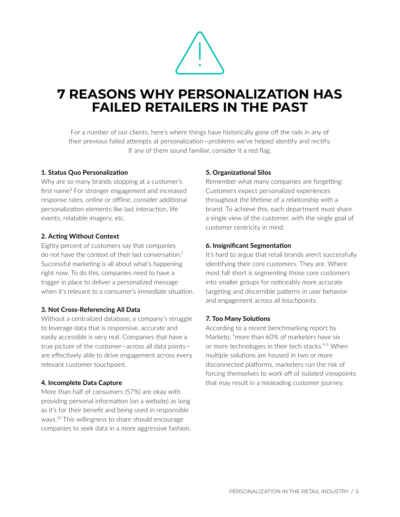

# <span id="page-4-0"></span>**7 REASONS WHY PERSONALIZATION HAS FAILED RETAILERS IN THE PAST**

For a number of our clients, here's where things have historically gone off the rails in any of their previous failed attempts at personalization—problems we've helped identify and rectify. If any of them sound familiar, consider it a red flag.

#### **1. Status Quo Personalization**

Why are so many brands stopping at a customer's first name? For stronger engagement and increased response rates, online or offline, consider additional personalization elements like last interaction, life events, relatable imagery, etc.

## **2. Acting Without Context**

Eighty percent of customers say that companies do not have the context of their last conversation.<sup>7</sup> Successful marketing is all about what's happening right now. To do this, companies need to have a trigger in place to deliver a personalized message when it's relevant to a consumer's immediate situation.

#### **3. Not Cross-Referencing All Data**

Without a centralized database, a company's struggle to leverage data that is responsive, accurate and easily accessible is very real. Companies that have a true picture of the customer—across all data points are effectively able to drive engagement across every relevant customer touchpoint.

#### **4. Incomplete Data Capture**

More than half of consumers (57%) are okay with providing personal information (on a website) as long as it's for their benefit and being used in responsible ways[.10](#page-12-0) This willingness to share should encourage companies to seek data in a more aggressive fashion.

## **5. Organizational Silos**

Remember what many companies are forgetting: Customers expect personalized experiences throughout the lifetime of a relationship with a brand. To achieve this, each department must share a single view of the customer, with the single goal of customer centricity in mind.

#### **6. Insignificant Segmentation**

It's hard to argue that retail brands aren't successfully identifying their core customers. They are. Where most fall short is segmenting those core customers into smaller groups for noticeably more accurate targeting and discernible patterns in user behavior and engagement across all touchpoints.

## **7. Too Many Solutions**

According to a recent benchmarking report by Marketo, "more than 60% of marketers have six or more technologies in their tech stacks."[11](#page-12-0) When multiple solutions are housed in two or more disconnected platforms, marketers run the risk of forcing themselves to work off of isolated viewpoints that may result in a misleading customer journey.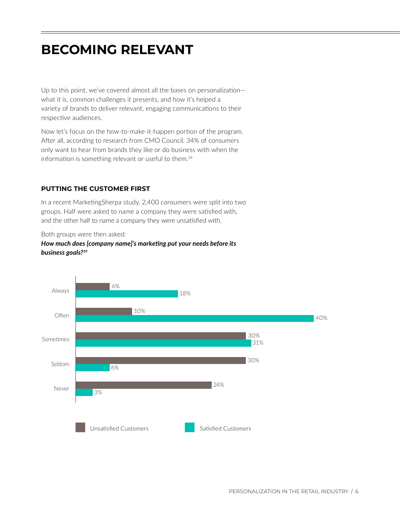# <span id="page-5-0"></span>**BECOMING RELEVANT**

Up to this point, we've covered almost all the bases on personalization what it is, common challenges it presents, and how it's helped a variety of brands to deliver relevant, engaging communications to their respective audiences.

Now let's focus on the how-to-make-it-happen portion of the program. After all, according to research from CMO Council, 34% of consumers only want to hear from brands they like or do business with when the information is something relevant or useful to them.[18](#page-12-0)

## **PUTTING THE CUSTOMER FIRST**

In a recent MarketingSherpa study, 2,400 consumers were split into two groups. Half were asked to name a company they were satisfied with, and the other half to name a company they were unsatisfied with.

Both groups were then asked:



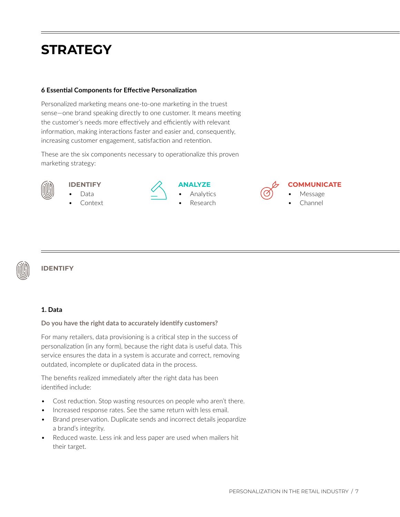# <span id="page-6-0"></span>**STRATEGY**

### **6 Essential Components for Effective Personalization**

Personalized marketing means one-to-one marketing in the truest sense—one brand speaking directly to one customer. It means meeting the customer's needs more effectively and efficiently with relevant information, making interactions faster and easier and, consequently, increasing customer engagement, satisfaction and retention.

These are the six components necessary to operationalize this proven marketing strategy:



## **IDENTIFY**

• Data **Context** 



## **ANALYZE** • Analytics

• Research



## **COMMUNICATE**

- Message
- Channel



## **IDENTIFY**

#### **1. Data**

#### **Do you have the right data to accurately identify customers?**

For many retailers, data provisioning is a critical step in the success of personalization (in any form), because the right data is useful data. This service ensures the data in a system is accurate and correct, removing outdated, incomplete or duplicated data in the process.

The benefits realized immediately after the right data has been identified include:

- Cost reduction. Stop wasting resources on people who aren't there.
- Increased response rates. See the same return with less email.
- Brand preservation. Duplicate sends and incorrect details jeopardize a brand's integrity.
- Reduced waste. Less ink and less paper are used when mailers hit their target.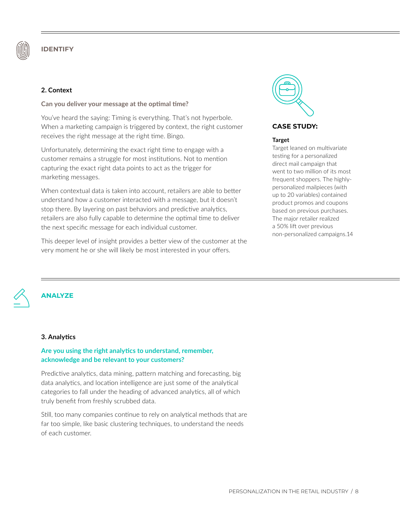

### **2. Context**

#### **Can you deliver your message at the optimal time?**

You've heard the saying: Timing is everything. That's not hyperbole. When a marketing campaign is triggered by context, the right customer receives the right message at the right time. Bingo.

Unfortunately, determining the exact right time to engage with a customer remains a struggle for most institutions. Not to mention capturing the exact right data points to act as the trigger for marketing messages.

When contextual data is taken into account, retailers are able to better understand how a customer interacted with a message, but it doesn't stop there. By layering on past behaviors and predictive analytics, retailers are also fully capable to determine the optimal time to deliver the next specific message for each individual customer.

This deeper level of insight provides a better view of the customer at the very moment he or she will likely be most interested in your offers.



#### **CASE STUDY:**

#### **Target**

Target leaned on multivariate testing for a personalized direct mail campaign that went to two million of its most frequent shoppers. The highlypersonalized mailpieces (with up to 20 variables) contained product promos and coupons based on previous purchases. The major retailer realized a 50% lift over previous non‑personalized campaigns.[14](#page-12-0)



## **ANALYZE**

#### **3. Analytics**

## **Are you using the right analytics to understand, remember, acknowledge and be relevant to your customers?**

Predictive analytics, data mining, pattern matching and forecasting, big data analytics, and location intelligence are just some of the analytical categories to fall under the heading of advanced analytics, all of which truly benefit from freshly scrubbed data.

Still, too many companies continue to rely on analytical methods that are far too simple, like basic clustering techniques, to understand the needs of each customer.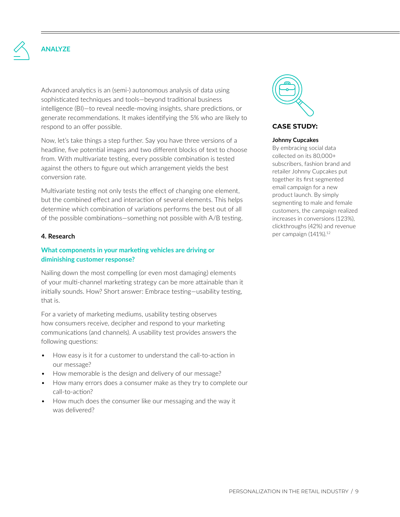

Advanced analytics is an (semi-) autonomous analysis of data using sophisticated techniques and tools—beyond traditional business intelligence (BI)—to reveal needle‑moving insights, share predictions, or generate recommendations. It makes identifying the 5% who are likely to respond to an offer possible.

Now, let's take things a step further. Say you have three versions of a headline, five potential images and two different blocks of text to choose from. With multivariate testing, every possible combination is tested against the others to figure out which arrangement yields the best conversion rate.

Multivariate testing not only tests the effect of changing one element, but the combined effect and interaction of several elements. This helps determine which combination of variations performs the best out of all of the possible combinations—something not possible with A/B testing.

#### **4. Research**

#### **What components in your marketing vehicles are driving or diminishing customer response?**

Nailing down the most compelling (or even most damaging) elements of your multi‑channel marketing strategy can be more attainable than it initially sounds. How? Short answer: Embrace testing—usability testing, that is.

For a variety of marketing mediums, usability testing observes how consumers receive, decipher and respond to your marketing communications (and channels). A usability test provides answers the following questions:

- How easy is it for a customer to understand the call-to-action in our message?
- How memorable is the design and delivery of our message?
- How many errors does a consumer make as they try to complete our call-to-action?
- How much does the consumer like our messaging and the way it was delivered?



#### **CASE STUDY:**

#### **Johnny Cupcakes**

By embracing social data collected on its 80,000+ subscribers, fashion brand and retailer Johnny Cupcakes put together its first segmented email campaign for a new product launch. By simply segmenting to male and female customers, the campaign realized increases in conversions (123%), clickthroughs (42%) and revenue per campaign (141%).<sup>[12](#page-12-0)</sup>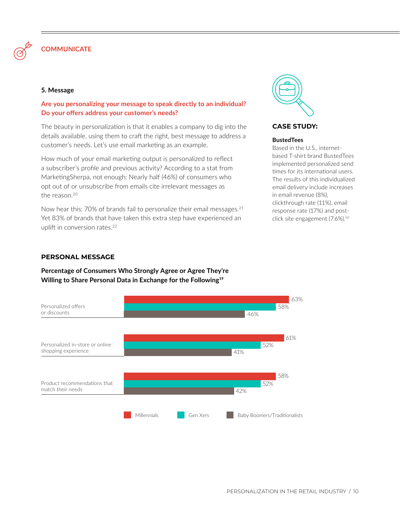

## **COMMUNICATE**

#### **5. Message**

### **Are you personalizing your message to speak directly to an individual? Do your offers address your customer's needs?**

The beauty in personalization is that it enables a company to dig into the details available, using them to craft the right, best message to address a customer's needs. Let's use email marketing as an example.

How much of your email marketing output is personalized to reflect a subscriber's profile and previous activity? According to a stat from MarketingSherpa, not enough: Nearly half (46%) of consumers who opt out of or unsubscribe from emails cite irrelevant messages as the reason.[20](#page-12-0)

Now hear this: 70% of brands fail to personalize their email messages.<sup>[21](#page-12-0)</sup> Yet 83% of brands that have taken this extra step have experienced an uplift in conversion rates.<sup>[22](#page-12-0)</sup>



## **Percentage of Consumers Who Strongly Agree or Agree They're Willing to Share Personal Data in Exchange for the Following[19](#page-12-0)**





**CASE STUDY:**

#### **BustedTees**

Based in the U.S., internetbased T‑shirt brand BustedTees implemented personalized send times for its international users. The results of this individualized email delivery include increases in email revenue (8%), clickthrough rate (11%), email response rate (17%) and postclick site engagement (7.6%).[16](#page-12-0)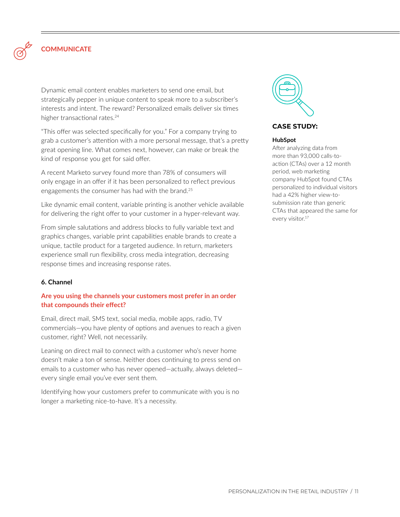

## **COMMUNICATE**

Dynamic email content enables marketers to send one email, but strategically pepper in unique content to speak more to a subscriber's interests and intent. The reward? Personalized emails deliver six times higher transactional rates.<sup>[24](#page-12-0)</sup>

"This offer was selected specifically for you." For a company trying to grab a customer's attention with a more personal message, that's a pretty great opening line. What comes next, however, can make or break the kind of response you get for said offer.

A recent Marketo survey found more than 78% of consumers will only engage in an offer if it has been personalized to reflect previous engagements the consumer has had with the brand.<sup>25</sup>

Like dynamic email content, variable printing is another vehicle available for delivering the right offer to your customer in a hyper-relevant way.

From simple salutations and address blocks to fully variable text and graphics changes, variable print capabilities enable brands to create a unique, tactile product for a targeted audience. In return, marketers experience small run flexibility, cross media integration, decreasing response times and increasing response rates.

#### **6. Channel**

## **Are you using the channels your customers most prefer in an order that compounds their effect?**

Email, direct mail, SMS text, social media, mobile apps, radio, TV commercials—you have plenty of options and avenues to reach a given customer, right? Well, not necessarily.

Leaning on direct mail to connect with a customer who's never home doesn't make a ton of sense. Neither does continuing to press send on emails to a customer who has never opened—actually, always deleted every single email you've ever sent them.

Identifying how your customers prefer to communicate with you is no longer a marketing nice-to-have. It's a necessity.



#### **CASE STUDY:**

#### **HubSpot**

After analyzing data from more than 93,000 calls-toaction (CTAs) over a 12 month period, web marketing company HubSpot found CTAs personalized to individual visitors had a 42% higher view-tosubmission rate than generic CTAs that appeared the same for every visitor.<sup>17</sup>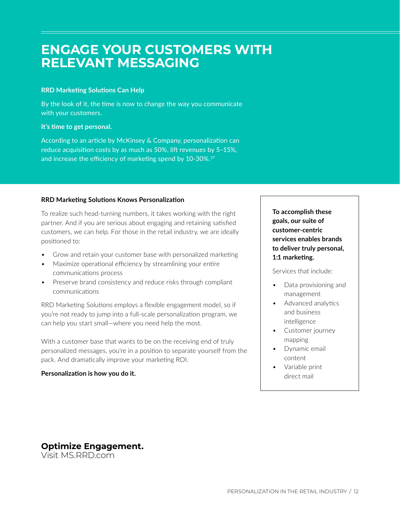## <span id="page-11-0"></span>**ENGAGE YOUR CUSTOMERS WITH RELEVANT MESSAGING**

#### **RRD Marketing Solutions Can Help**

By the look of it, the time is now to change the way you communicate with your customers.

### **It's time to get personal.**

According to an article by McKinsey & Company, personalization can reduce acquisition costs by as much as 50%, lift revenues by 5–15%, and increase the efficiency of marketing spend by 10-30%.<sup>[27](#page-12-0)</sup>

## **RRD Marketing Solutions Knows Personalization**

To realize such head‑turning numbers, it takes working with the right partner. And if you are serious about engaging and retaining satisfied customers, we can help. For those in the retail industry, we are ideally positioned to:

- Grow and retain your customer base with personalized marketing
- Maximize operational efficiency by streamlining your entire communications process
- Preserve brand consistency and reduce risks through compliant communications

RRD Marketing Solutions employs a flexible engagement model, so if you're not ready to jump into a full‑scale personalization program, we can help you start small—where you need help the most.

With a customer base that wants to be on the receiving end of truly personalized messages, you're in a position to separate yourself from the pack. And dramatically improve your marketing ROI.

## **Personalization is how you do it.**

**To accomplish these goals, our suite of customer-centric services enables brands to deliver truly personal, 1:1 marketing.**

Services that include:

- Data provisioning and management
- Advanced analytics and business intelligence
- Customer journey mapping
- Dynamic email content
- Variable print direct mail

## **Optimize Engagement.**

Visit [MS.RRD.com](https://www.rrd.com/services/marketing)